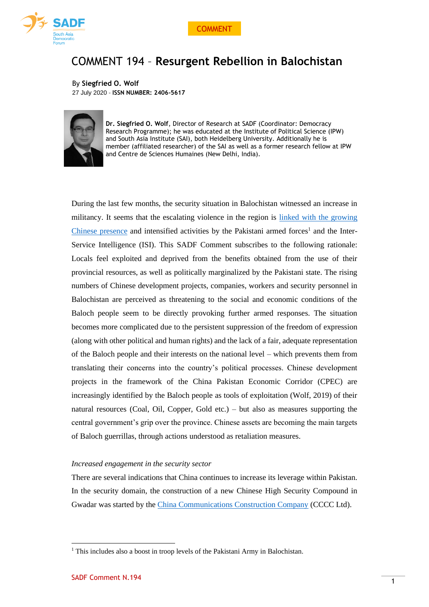



# COMMENT 194 – **Resurgent Rebellion in Balochistan**

By **Siegfried O. Wolf** 27 July 2020 - **ISSN NUMBER: 2406-5617**



**Dr. Siegfried O. Wolf**, Director of Research at SADF (Coordinator: Democracy Research Programme); he was educated at the Institute of Political Science (IPW) and South Asia Institute (SAI), both Heidelberg University. Additionally he is member (affiliated researcher) of the SAI as well as a former research fellow at IPW and Centre de Sciences Humaines (New Delhi, India).

During the last few months, the security situation in Balochistan witnessed an increase in militancy. It seems that the escalating violence in the region is [linked with the growing](https://www.aljazeera.com/news/2020/07/balochs-seek-answers-pakistan-disappear-conflict-200720052927939.html)  [Chinese presence](https://www.aljazeera.com/news/2020/07/balochs-seek-answers-pakistan-disappear-conflict-200720052927939.html) and intensified activities by the Pakistani armed forces<sup>1</sup> and the Inter-Service Intelligence (ISI). This SADF Comment subscribes to the following rationale: Locals feel exploited and deprived from the benefits obtained from the use of their provincial resources, as well as politically marginalized by the Pakistani state. The rising numbers of Chinese development projects, companies, workers and security personnel in Balochistan are perceived as threatening to the social and economic conditions of the Baloch people seem to be directly provoking further armed responses. The situation becomes more complicated due to the persistent suppression of the freedom of expression (along with other political and human rights) and the lack of a fair, adequate representation of the Baloch people and their interests on the national level – which prevents them from translating their concerns into the country's political processes. Chinese development projects in the framework of the China Pakistan Economic Corridor (CPEC) are increasingly identified by the Baloch people as tools of exploitation (Wolf, 2019) of their natural resources (Coal, Oil, Copper, Gold etc.) – but also as measures supporting the central government's grip over the province. Chinese assets are becoming the main targets of Baloch guerrillas, through actions understood as retaliation measures.

# *Increased engagement in the security sector*

There are several indications that China continues to increase its leverage within Pakistan. In the security domain, the construction of a new Chinese High Security Compound in Gwadar was started by the [China Communications Construction Company](http://en.ccccltd.cn/) (CCCC Ltd).

<sup>&</sup>lt;sup>1</sup> This includes also a boost in troop levels of the Pakistani Army in Balochistan.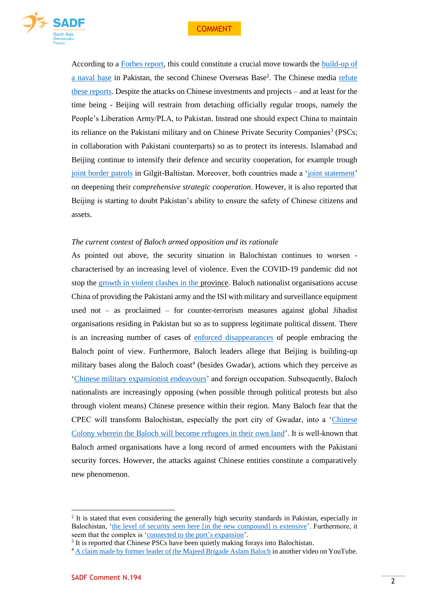

According to a [Forbes report,](https://www.forbes.com/sites/hisutton/2020/06/02/chinas-new-high-security-compound-in-pakistan-may-indicate-naval-plans/#24878d5f1020) this could constitute a crucial move towards the [build-up of](https://www.satp.org/terrorism-update/china-building-high-security-compound-at-gwadar-of-balochistan-to-establish-naval-base)  [a naval base](https://www.satp.org/terrorism-update/china-building-high-security-compound-at-gwadar-of-balochistan-to-establish-naval-base) in Pakistan, the second Chinese Overseas Base<sup>2</sup>. The Chinese media refute [these reports.](https://www.chinadaily.com.cn/a/202006/12/WS5ee2cb8ba3108348172527f9.html) Despite the attacks on Chinese investments and projects – and at least for the time being - Beijing will restrain from detaching officially regular troops, namely the People's Liberation Army/PLA, to Pakistan. Instead one should expect China to maintain its reliance on the Pakistani military and on Chinese Private Security Companies<sup>3</sup> (PSCs; in collaboration with Pakistani counterparts) so as to protect its interests. Islamabad and Beijing continue to intensify their defence and security cooperation, for example trough [joint border patrols](https://www.app.com.pk/global/global/china-pakistan-conduct-joint-border-patrol-in-khunjerab-2/) in Gilgit-Baltistan. Moreover, both countries made a ['joint statement'](http://www.xinhuanet.com/english/2020-03/18/c_138888840.htm) on deepening their *comprehensive strategic cooperation*. However, it is also reported that Beijing is starting to doubt Pakistan's ability to ensure the safety of Chinese citizens and assets.

## *The current context of Baloch armed opposition and its rationale*

As pointed out above, the security situation in Balochistan continues to worsen characterised by an increasing level of violence. Even the COVID-19 pandemic did not stop the [growth in violent clashes in the](https://www.indiatvnews.com/news/world/cpec-china-expresses-concern-over-bla-s-militancy-in-pakistan-624075) province. Baloch nationalist organisations accuse China of providing the Pakistani army and the ISI with military and surveillance equipment used not – as proclaimed – for counter-terrorism measures against global Jihadist organisations residing in Pakistan but so as to suppress legitimate political dissent. There is an increasing number of cases of [enforced disappearances](https://www.aljazeera.com/news/2020/07/balochs-seek-answers-pakistan-disappear-conflict-200720052927939.html) of people embracing the Baloch point of view. Furthermore, Baloch leaders allege that Beijing is building-up military bases along the Baloch coast<sup>4</sup> (besides Gwadar), actions which they perceive as ['Chinese military expansionist endeavours'](https://thekootneeti.in/2020/07/06/why-bla-is-against-chinese-investment-in-balochistan/) and foreign occupation. Subsequently, Baloch nationalists are increasingly opposing (when possible through political protests but also through violent means) Chinese presence within their region. Many Baloch fear that the CPEC will transform Balochistan, especially the port city of Gwadar, into a ['Chinese](https://thekootneeti.in/2020/07/06/why-bla-is-against-chinese-investment-in-balochistan/)  [Colony wherein the Baloch will become refugees in their own land'](https://thekootneeti.in/2020/07/06/why-bla-is-against-chinese-investment-in-balochistan/). It is well-known that Baloch armed organisations have a long record of armed encounters with the Pakistani security forces. However, the attacks against Chinese entities constitute a comparatively new phenomenon.

<sup>&</sup>lt;sup>2</sup> It is stated that even considering the generally high security standards in Pakistan, especially in Balochistan, ['the level of security seen here \[in](https://www.forbes.com/sites/hisutton/2020/06/02/chinas-new-high-security-compound-in-pakistan-may-indicate-naval-plans/#24878d5f1020) the new compound] is extensive'. Furthermore, it seem that the complex is ['connected to the port's](https://www.forbes.com/sites/hisutton/2020/06/02/chinas-new-high-security-compound-in-pakistan-may-indicate-naval-plans/#24878d5f1020) expansion'.

<sup>&</sup>lt;sup>3</sup> It is reported that Chinese PSCs have been quietly making forays into Balochistan.

<sup>4</sup> A claim made by former [leader of the Majeed Brigade Aslam Baloch](https://indianexpress.com/article/explained/pakistan-stock-exchange-attack-karachi-balochistan-liberation-army-6481916/) in another video on YouTube.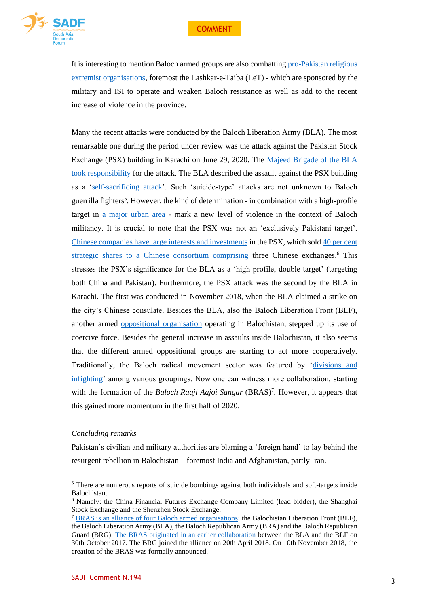

It is interesting to mention Baloch armed groups are also combattin[g pro-Pakistan religious](https://www.newsintervention.com/bras-launches-operation-aas-rech-in-balochistan/)  [extremist organisations,](https://www.newsintervention.com/bras-launches-operation-aas-rech-in-balochistan/) foremost the Lashkar-e-Taiba (LeT) - which are sponsored by the military and ISI to operate and weaken Baloch resistance as well as add to the recent increase of violence in the province.

Many the recent attacks were conducted by the Baloch Liberation Army (BLA). The most remarkable one during the period under review was the attack against the Pakistan Stock Exchange (PSX) building in Karachi on June 29, 2020. The [Majeed Brigade of the BLA](https://www.reuters.com/article/us-pakistan-attacks/gunmen-attack-pakistani-stock-exchange-six-killed-police-idUSKBN2400IS)  [took responsibility](https://www.reuters.com/article/us-pakistan-attacks/gunmen-attack-pakistani-stock-exchange-six-killed-police-idUSKBN2400IS) for the attack. The BLA described the assault against the PSX building as a ['self-sacrificing attack'](https://www.reuters.com/article/us-pakistan-attacks/gunmen-attack-pakistani-stock-exchange-six-killed-police-idUSKBN2400IS). Such 'suicide-type' attacks are not unknown to Baloch guerrilla fighters<sup>5</sup>. However, the kind of determination - in combination with a high-profile target in [a major urban area](https://www.newindianexpress.com/world/2020/jun/30/pakistan-stock-exchange-attack-was-to-simultaneously-target-pakistans-economy-and-china-bla-2163498.html) - mark a new level of violence in the context of Baloch militancy. It is crucial to note that the PSX was not an 'exclusively Pakistani target'. [Chinese companies have large interests and investments](https://www.newindianexpress.com/world/2020/jun/30/pakistan-stock-exchange-attack-was-to-simultaneously-target-pakistans-economy-and-china-bla-2163498.html) in the PSX, which sold [40 per cent](https://indianexpress.com/article/explained/pakistan-stock-exchange-attack-karachi-balochistan-liberation-army-6481916/)  [strategic shares to a Chinese consortium comprising](https://indianexpress.com/article/explained/pakistan-stock-exchange-attack-karachi-balochistan-liberation-army-6481916/) three Chinese exchanges.<sup>6</sup> This stresses the PSX's significance for the BLA as a 'high profile, double target' (targeting both China and Pakistan). Furthermore, the PSX attack was the second by the BLA in Karachi. The first was conducted in November 2018, when the BLA claimed a strike on the city's Chinese consulate. Besides the BLA, also the Baloch Liberation Front (BLF), another armed [oppositional organisation](https://d.docs.live.net/a944f6cc1c419368/Desktop/20200723.SADF.Comment.COVID-CHN-Balochistan/opposition%20group) operating in Balochistan, stepped up its use of coercive force. Besides the general increase in assaults inside Balochistan, it also seems that the different armed oppositional groups are starting to act more cooperatively. Traditionally, the Baloch radical movement sector was featured by ['divisions and](https://thediplomat.com/2020/06/amid-a-pandemic-pakistan-focuses-on-a-baloch-insurgency/)  [infighting'](https://thediplomat.com/2020/06/amid-a-pandemic-pakistan-focuses-on-a-baloch-insurgency/) among various groupings. Now one can witness more collaboration, starting with the formation of the *Baloch Raaji Aajoi Sangar* (BRAS)<sup>7</sup>. However, it appears that this gained more momentum in the first half of 2020.

#### *Concluding remarks*

Pakistan's civilian and military authorities are blaming a 'foreign hand' to lay behind the resurgent rebellion in Balochistan – foremost India and Afghanistan, partly Iran.

<sup>5</sup> There are numerous reports of suicide bombings against both individuals and soft-targets inside Balochistan.

<sup>6</sup> Namely: the China Financial Futures Exchange Company Limited (lead bidder), the Shanghai Stock Exchange and the Shenzhen Stock Exchange.

<sup>7</sup> [BRAS is an alliance of four Baloch armed organisations:](https://www.newsintervention.com/bras-launches-operation-aas-rech-in-balochistan/) the Balochistan Liberation Front (BLF), the Baloch Liberation Army (BLA), the Baloch Republican Army (BRA) and the Baloch Republican Guard (BRG). [The BRAS originated in](https://cscr.pk/explore/publications/articles/identity-as-a-pretext-of-terror-brief-backgrounder-of-baloch-raaji-aajoi-sangar/) an earlier collaboration between the BLA and the BLF on 30th October 2017. The BRG joined the alliance on 20th April 2018. On 10th November 2018, the creation of the BRAS was formally announced.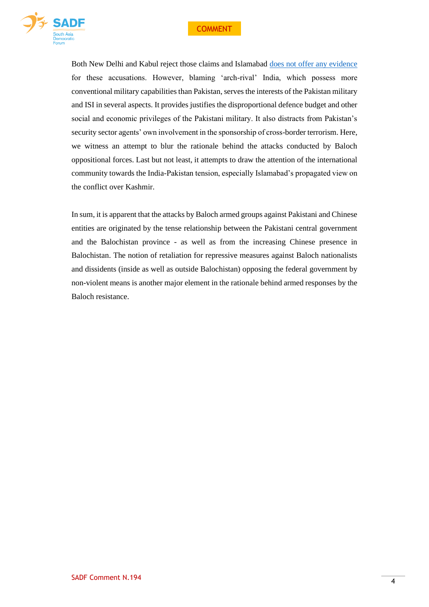



Both New Delhi and Kabul reject those claims and Islamabad [does not offer any evidence](https://www.orfonline.org/expert-speak/psx-attack-false-flag-or-an-attack-by-a-flagging-movement-68935/) for these accusations. However, blaming 'arch-rival' India, which possess more conventional military capabilities than Pakistan, serves the interests of the Pakistan military and ISI in several aspects. It provides justifies the disproportional defence budget and other social and economic privileges of the Pakistani military. It also distracts from Pakistan's security sector agents' own involvement in the sponsorship of cross-border terrorism. Here, we witness an attempt to blur the rationale behind the attacks conducted by Baloch oppositional forces. Last but not least, it attempts to draw the attention of the international community towards the India-Pakistan tension, especially Islamabad's propagated view on the conflict over Kashmir.

In sum, it is apparent that the attacks by Baloch armed groups against Pakistani and Chinese entities are originated by the tense relationship between the Pakistani central government and the Balochistan province - as well as from the increasing Chinese presence in Balochistan. The notion of retaliation for repressive measures against Baloch nationalists and dissidents (inside as well as outside Balochistan) opposing the federal government by non-violent means is another major element in the rationale behind armed responses by the Baloch resistance.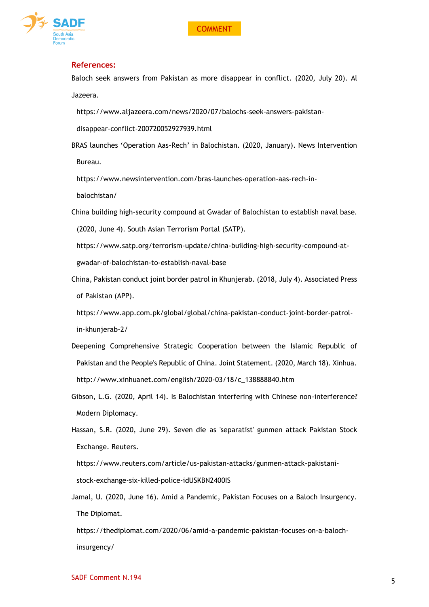

### **References:**

Baloch seek answers from Pakistan as more disappear in conflict. (2020, July 20). Al Jazeera.

[https://www.aljazeera.com/news/2020/07/balochs-seek-answers-pakistan-](https://www.aljazeera.com/news/2020/07/balochs-seek-answers-pakistan-disappear-conflict-200720052927939.html)

[disappear-conflict-200720052927939.html](https://www.aljazeera.com/news/2020/07/balochs-seek-answers-pakistan-disappear-conflict-200720052927939.html)

BRAS launches 'Operation Aas-Rech' in Balochistan. (2020, January). News Intervention Bureau.

[https://www.newsintervention.com/bras-launches-operation-aas-rech-in-](https://www.newsintervention.com/bras-launches-operation-aas-rech-in-balochistan/)

[balochistan/](https://www.newsintervention.com/bras-launches-operation-aas-rech-in-balochistan/)

China building high-security compound at Gwadar of Balochistan to establish naval base.

(2020, June 4). South Asian Terrorism Portal (SATP).

[https://www.satp.org/terrorism-update/china-building-high-security-compound-at](https://www.satp.org/terrorism-update/china-building-high-security-compound-at-gwadar-of-balochistan-to-establish-naval-base)[gwadar-of-balochistan-to-establish-naval-base](https://www.satp.org/terrorism-update/china-building-high-security-compound-at-gwadar-of-balochistan-to-establish-naval-base)

China, Pakistan conduct joint border patrol in Khunjerab. (2018, July 4). Associated Press of Pakistan (APP).

[https://www.app.com.pk/global/global/china-pakistan-conduct-joint-border-patrol](https://www.app.com.pk/global/global/china-pakistan-conduct-joint-border-patrol-in-khunjerab-2/)[in-khunjerab-2/](https://www.app.com.pk/global/global/china-pakistan-conduct-joint-border-patrol-in-khunjerab-2/)

- Deepening Comprehensive Strategic Cooperation between the Islamic Republic of Pakistan and the People's Republic of China. Joint Statement. (2020, March 18). Xinhua. [http://www.xinhuanet.com/english/2020-03/18/c\\_138888840.htm](http://www.xinhuanet.com/english/2020-03/18/c_138888840.htm)
- Gibson, L.G. (2020, April 14). Is Balochistan interfering with Chinese non-interference? Modern Diplomacy.
- Hassan, S.R. (2020, June 29). Seven die as 'separatist' gunmen attack Pakistan Stock Exchange. Reuters.

[https://www.reuters.com/article/us-pakistan-attacks/gunmen-attack-pakistani](https://www.reuters.com/article/us-pakistan-attacks/gunmen-attack-pakistani-stock-exchange-six-killed-police-idUSKBN2400IS)[stock-exchange-six-killed-police-idUSKBN2400IS](https://www.reuters.com/article/us-pakistan-attacks/gunmen-attack-pakistani-stock-exchange-six-killed-police-idUSKBN2400IS)

Jamal, U. (2020, June 16). Amid a Pandemic, Pakistan Focuses on a Baloch Insurgency. The Diplomat.

[https://thediplomat.com/2020/06/amid-a-pandemic-pakistan-focuses-on-a-baloch](https://thediplomat.com/2020/06/amid-a-pandemic-pakistan-focuses-on-a-baloch-insurgency/)[insurgency/](https://thediplomat.com/2020/06/amid-a-pandemic-pakistan-focuses-on-a-baloch-insurgency/)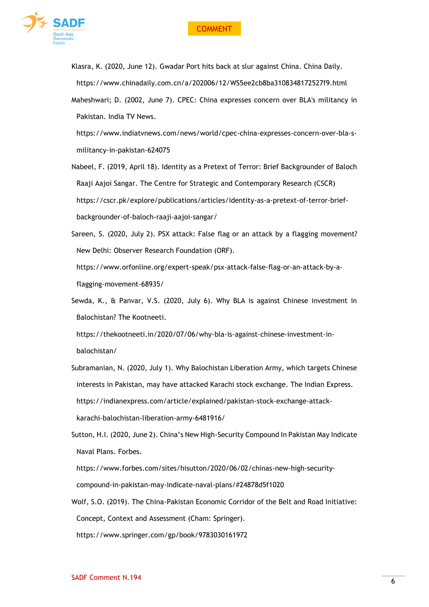

- Klasra, K. (2020, June 12). Gwadar Port hits back at slur against China. China Daily. <https://www.chinadaily.com.cn/a/202006/12/WS5ee2cb8ba3108348172527f9.html>
- Maheshwari; D. (2002, June 7). CPEC: China expresses concern over BLA's militancy in Pakistan. India TV News.

[https://www.indiatvnews.com/news/world/cpec-china-expresses-concern-over-bla-s](https://www.indiatvnews.com/news/world/cpec-china-expresses-concern-over-bla-s-militancy-in-pakistan-624075)[militancy-in-pakistan-624075](https://www.indiatvnews.com/news/world/cpec-china-expresses-concern-over-bla-s-militancy-in-pakistan-624075)

- Nabeel, F. (2019, April 18). Identity as a Pretext of Terror: Brief Backgrounder of Baloch Raaji Aajoi Sangar. The Centre for Strategic and Contemporary Research (CSCR) [https://cscr.pk/explore/publications/articles/identity-as-a-pretext-of-terror-brief](https://cscr.pk/explore/publications/articles/identity-as-a-pretext-of-terror-brief-backgrounder-of-baloch-raaji-aajoi-sangar/)[backgrounder-of-baloch-raaji-aajoi-sangar/](https://cscr.pk/explore/publications/articles/identity-as-a-pretext-of-terror-brief-backgrounder-of-baloch-raaji-aajoi-sangar/)
- Sareen, S. (2020, July 2). PSX attack: False flag or an attack by a flagging movement? New Delhi: Observer Research Foundation (ORF).

[https://www.orfonline.org/expert-speak/psx-attack-false-flag-or-an-attack-by-a](https://www.orfonline.org/expert-speak/psx-attack-false-flag-or-an-attack-by-a-flagging-movement-68935/)[flagging-movement-68935/](https://www.orfonline.org/expert-speak/psx-attack-false-flag-or-an-attack-by-a-flagging-movement-68935/)

Sewda, K., & Panvar, V.S. (2020, July 6). Why BLA is against Chinese investment in Balochistan? The Kootneeti.

[https://thekootneeti.in/2020/07/06/why-bla-is-against-chinese-investment-in](https://thekootneeti.in/2020/07/06/why-bla-is-against-chinese-investment-in-balochistan/)[balochistan/](https://thekootneeti.in/2020/07/06/why-bla-is-against-chinese-investment-in-balochistan/)

- Subramanian, N. (2020, July 1). Why Balochistan Liberation Army, which targets Chinese interests in Pakistan, may have attacked Karachi stock exchange. The Indian Express. [https://indianexpress.com/article/explained/pakistan-stock-exchange-attack](https://indianexpress.com/article/explained/pakistan-stock-exchange-attack-karachi-balochistan-liberation-army-6481916/)[karachi-balochistan-liberation-army-6481916/](https://indianexpress.com/article/explained/pakistan-stock-exchange-attack-karachi-balochistan-liberation-army-6481916/)
- Sutton, H.I. (2020, June 2). China's New High-Security Compound In Pakistan May Indicate Naval Plans. Forbes.

[https://www.forbes.com/sites/hisutton/2020/06/02/chinas-new-high-security](https://www.forbes.com/sites/hisutton/2020/06/02/chinas-new-high-security-compound-in-pakistan-may-indicate-naval-plans/#24878d5f1020)[compound-in-pakistan-may-indicate-naval-plans/#24878d5f1020](https://www.forbes.com/sites/hisutton/2020/06/02/chinas-new-high-security-compound-in-pakistan-may-indicate-naval-plans/#24878d5f1020)

Wolf, S.O. (2019). The China-Pakistan Economic Corridor of the Belt and Road Initiative: Concept, Context and Assessment (Cham: Springer). <https://www.springer.com/gp/book/9783030161972>